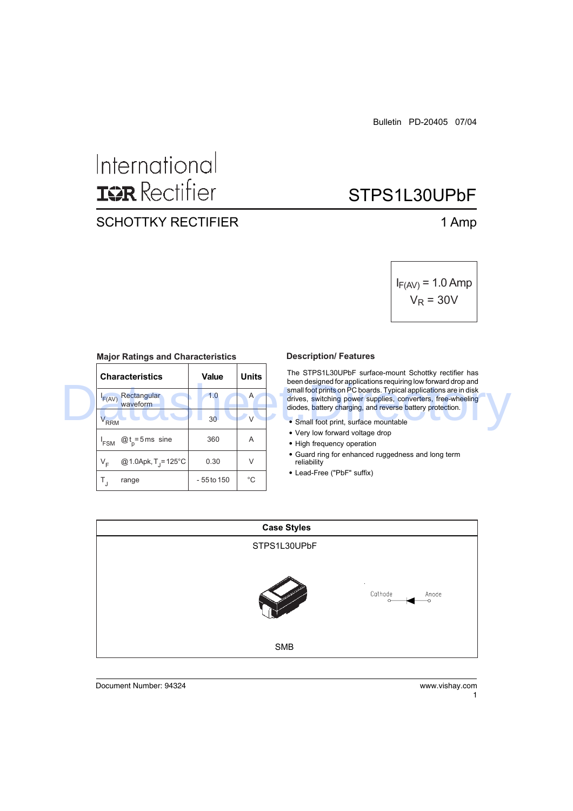## International **ISR** Rectifier

## SCHOTTKY RECTIFIER 1 Amp

# STPS1L30UPbF

$$
I_{F(AV)} = 1.0 \text{ Amp}
$$
  

$$
V_R = 30V
$$

| <b>Characteristics</b>           | <b>Value</b>    | <b>Units</b> | The STPS1L30UPbF surface-mount Schottky rectifier has<br>been designed for applications requiring low forward drop and                                                                       |  |  |
|----------------------------------|-----------------|--------------|----------------------------------------------------------------------------------------------------------------------------------------------------------------------------------------------|--|--|
| Rectangular<br>F(AV)<br>waveform | 1.0             | A            | small foot prints on PC boards. Typical applications are in disk<br>drives, switching power supplies, converters, free-wheeling<br>diodes, battery charging, and reverse battery protection. |  |  |
| V <sub>RRM</sub>                 | 30 <sup>2</sup> |              | • Small foot print, surface mountable                                                                                                                                                        |  |  |
| $@t_{n} = 5$ ms sine<br>'FSM     | 360             | A            | • Very low forward voltage drop<br>• High frequency operation                                                                                                                                |  |  |
| @ 1.0Apk, T = 125 °C<br>$V_{r}$  | 0.30            | V            | • Guard ring for enhanced ruggedness and long term<br>reliability                                                                                                                            |  |  |
| range                            | - 55 to 150     | °C           | • Lead-Free ("PbF" suffix)                                                                                                                                                                   |  |  |

#### **Major Ratings and Characteristics**

#### **Description/ Features**

- Small foot print, surface mountable
- Very low forward voltage drop
- High frequency operation
- Guard ring for enhanced ruggedness and long term reliability
- Lead-Free ("PbF" suffix)



Document Number: 94324 www.vishay.com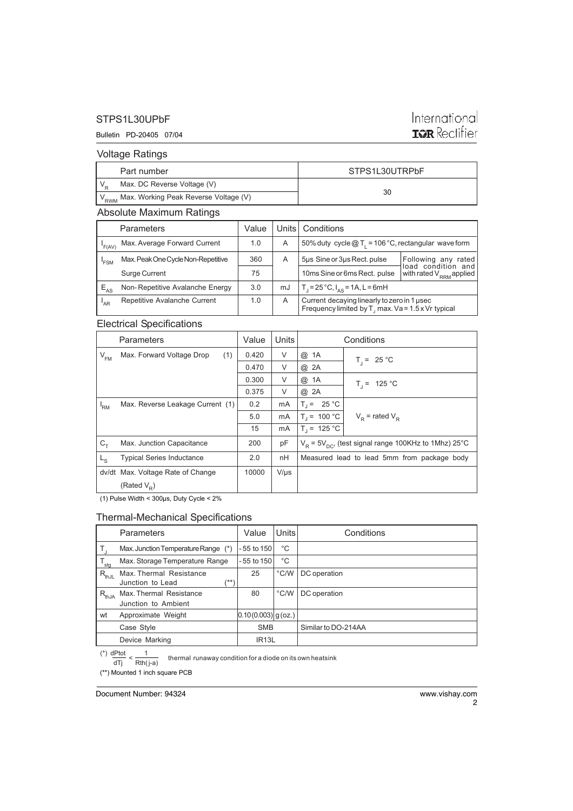#### STPS1L30UPbF

#### Bulletin PD-20405 07/04

## International **ISR** Rectifier

Voltage Ratings

| Part number                                              | STPS1L30UTRPbF |
|----------------------------------------------------------|----------------|
| Max. DC Reverse Voltage (V)                              |                |
| ' V <sub>RWM</sub> Max. Working Peak Reverse Voltage (V) | 30             |

#### Absolute Maximum Ratings

|                  | <b>Parameters</b>                  | Value | Units l | Conditions                                                                                        |                                              |
|------------------|------------------------------------|-------|---------|---------------------------------------------------------------------------------------------------|----------------------------------------------|
| F(AV)            | Max. Average Forward Current       | 1.0   | A       | 50% duty cycle $@T_1 = 106 °C$ , rectangular wave form                                            |                                              |
| <sup>I</sup> FSM | Max. Peak One Cycle Non-Repetitive | 360   | A       | 5µs Sine or 3µs Rect. pulse                                                                       | Following any<br>rated<br>load condition and |
|                  | Surge Current                      | 75    |         | 10ms Sine or 6ms Rect. pulse                                                                      | with rated $V_{\text{RRM}}$ applied          |
| $E_{AS}$         | Non-Repetitive Avalanche Energy    | 3.0   | mJ      | $T_1 = 25 °C$ , $I_{AS} = 1A$ , L = 6mH                                                           |                                              |
| <sup>'</sup> AR  | Repetitive Avalanche Current       | 1.0   | Α       | Current decaying linearly to zero in 1 usec<br>Frequency limited by T, max. Va = 1.5 x Vr typical |                                              |

#### Electrical Specifications

|                 | Parameters                        | Value | Units     |                                             | Conditions                                                |
|-----------------|-----------------------------------|-------|-----------|---------------------------------------------|-----------------------------------------------------------|
| $V_{\text{FM}}$ | (1)<br>Max. Forward Voltage Drop  | 0.420 | V         | @ 1A                                        | $T_i = 25 °C$                                             |
|                 |                                   | 0.470 | V         | @ 2A                                        |                                                           |
|                 |                                   | 0.300 | $\vee$    | @ 1A                                        | $T_i = 125 °C$                                            |
|                 |                                   | 0.375 | V         | @ 2A                                        |                                                           |
| <sup>I</sup> RM | Max. Reverse Leakage Current (1)  | 0.2   | mA        | $T_1 = 25 °C$                               |                                                           |
|                 |                                   | 5.0   | mA        | $T_1 = 100 °C$                              | $V_{\rm p}$ = rated $V_{\rm p}$                           |
|                 |                                   | 15    | mA        | $T_1 = 125 °C$                              |                                                           |
| $C_T$           | Max. Junction Capacitance         | 200   | pF        |                                             | $V_p = 5V_{pQ}$ , (test signal range 100KHz to 1Mhz) 25°C |
| $L_{\rm S}$     | <b>Typical Series Inductance</b>  | 2.0   | nH        | Measured lead to lead 5mm from package body |                                                           |
|                 | dv/dt Max. Voltage Rate of Change | 10000 | $V/\mu s$ |                                             |                                                           |
|                 | (Rated $V_{\rm p}$ )              |       |           |                                             |                                                           |

(1) Pulse Width < 300µs, Duty Cycle < 2%

#### Thermal-Mechanical Specifications

|                  | <b>Parameters</b>                                   | Value                  | Units         | Conditions          |
|------------------|-----------------------------------------------------|------------------------|---------------|---------------------|
|                  | Max. Junction Temperature Range (*)                 | -55 to 150             | °C            |                     |
| $T_{\text{stg}}$ | Max. Storage Temperature Range                      | $-55$ to 150           | °C            |                     |
| $R_{thJL}$       | Max. Thermal Resistance<br>Junction to Lead<br>/**' | 25                     | $\degree$ C/W | DC operation        |
| $R_{thJA}$       | Max. Thermal Resistance<br>Junction to Ambient      | 80                     | $\degree$ C/W | DC operation        |
| wt               | Approximate Weight                                  | $[0.10(0.003)]$ g(oz.) |               |                     |
|                  | Case Style                                          | <b>SMB</b>             |               | Similar to DO-214AA |
|                  | Device Marking                                      | IR <sub>13</sub> L     |               |                     |

thermal runaway condition for a diode on its own heatsink dTj Rth( j-a)

(\*\*) Mounted 1 inch square PCB

Document Number: 94324 www.vishay.com

2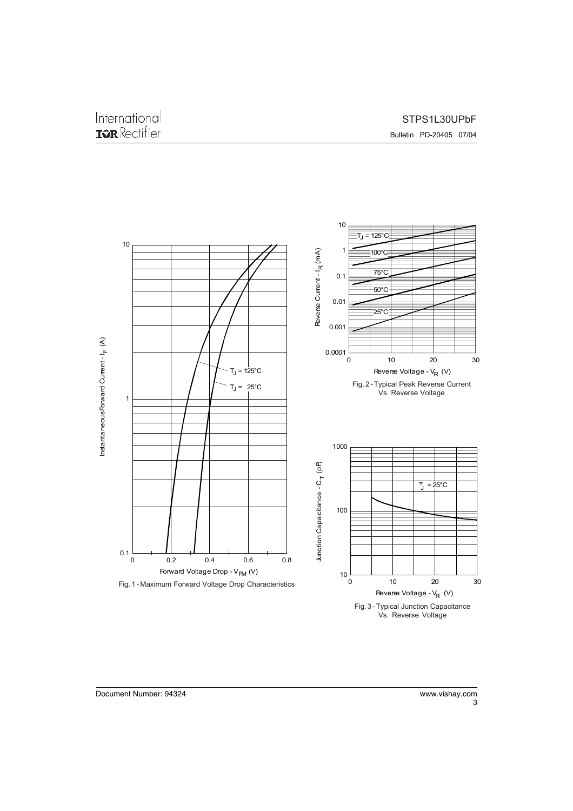Bulletin PD-20405 07/04



3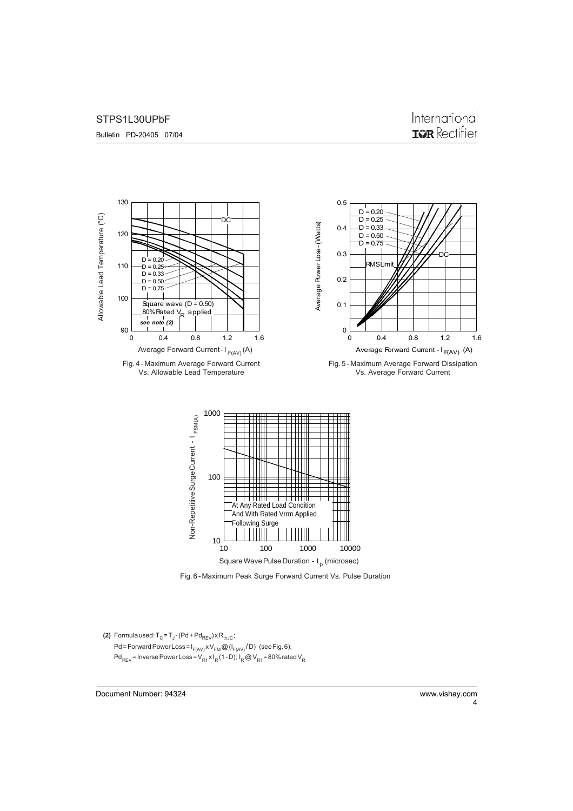#### STPS1L30UPbF

Bulletin PD-20405 07/04



Fig. 6 - Maximum Peak Surge Forward Current Vs. Pulse Duration

**(2)** Formula used:  $T_{\text{C}}$  =  $T_{\text{J}}$  - (Pd + Pd<sub>REV</sub>) x R<sub>thJC</sub>; Pd = Forward Power Loss =  $I_{F(AV)}XV_{FM}$  @ ( $I_{F(AV)}$  / D) (see Fig. 6);  $Pd_{REV}$  = Inverse Power Loss =  $V_{R1}xI_R(1-D)$ ;  $I_R$  @  $V_{R1}$  = 80% rated  $V_R$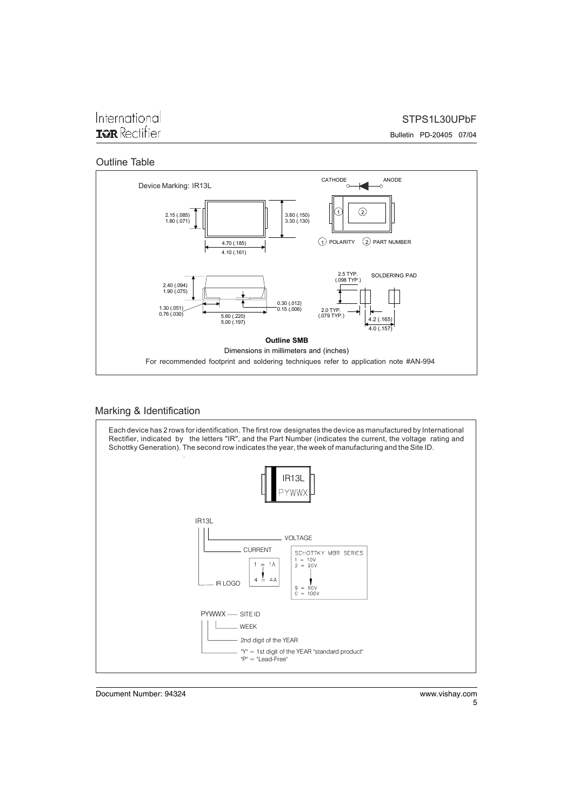### International **IGR** Rectifier

STPS1L30UPbF

Bulletin PD-20405 07/04

#### Outline Table



#### Marking & Identification



Document Number: 94324 www.vishay.com

5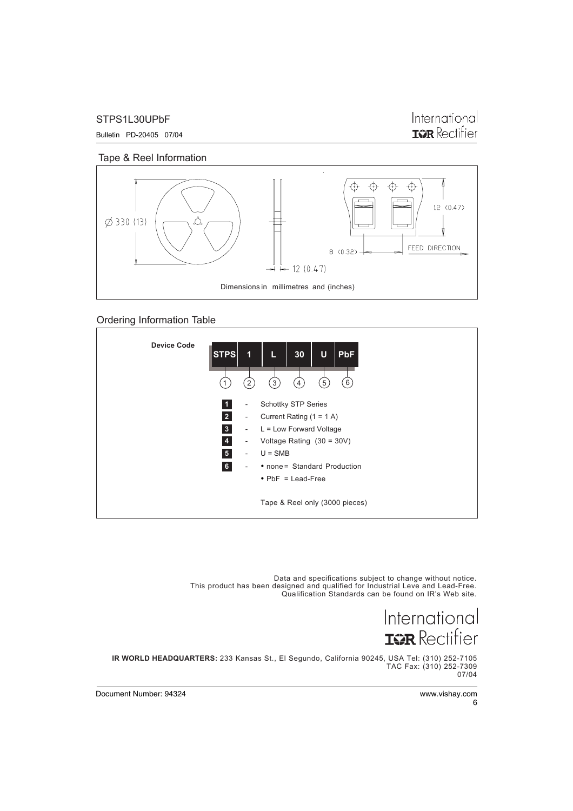STPS1L30UPbF

Bulletin PD-20405 07/04

International **IGR** Rectifier

Tape & Reel Information



Ordering Information Table



Data and specifications subject to change without notice. This product has been designed and qualified for Industrial Leve and Lead-Free. Qualification Standards can be found on IR's Web site.

> International **ISR** Rectifier

**IR WORLD HEADQUARTERS:** 233 Kansas St., El Segundo, California 90245, USA Tel: (310) 252-7105 TAC Fax: (310) 252-7309 07/04

6

Document Number: 94324 www.vishay.com